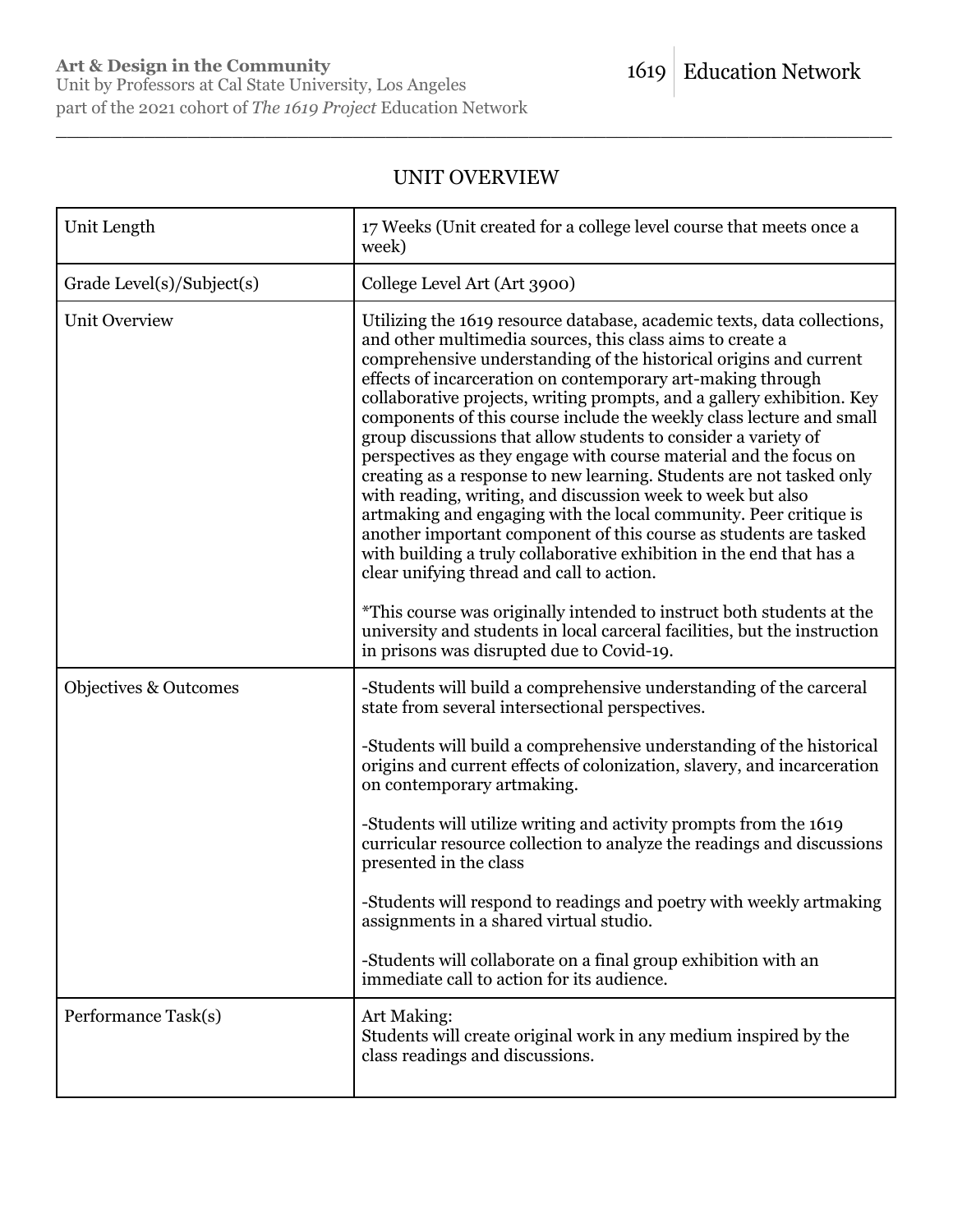## UNIT OVERVIEW

\_\_\_\_\_\_\_\_\_\_\_\_\_\_\_\_\_\_\_\_\_\_\_\_\_\_\_\_\_\_\_\_\_\_\_\_\_\_\_\_\_\_\_\_\_\_\_\_\_\_\_\_\_\_\_\_\_\_\_\_\_\_\_\_\_\_\_\_\_\_\_\_\_\_\_\_

| Unit Length                      | 17 Weeks (Unit created for a college level course that meets once a<br>week)                                                                                                                                                                                                                                                                                                                                                                                                                                                                                                                                                                                                                                                                                                                                                                                                                                                                                                                                                                                                                                                                                               |
|----------------------------------|----------------------------------------------------------------------------------------------------------------------------------------------------------------------------------------------------------------------------------------------------------------------------------------------------------------------------------------------------------------------------------------------------------------------------------------------------------------------------------------------------------------------------------------------------------------------------------------------------------------------------------------------------------------------------------------------------------------------------------------------------------------------------------------------------------------------------------------------------------------------------------------------------------------------------------------------------------------------------------------------------------------------------------------------------------------------------------------------------------------------------------------------------------------------------|
| Grade Level(s)/Subject(s)        | College Level Art (Art 3900)                                                                                                                                                                                                                                                                                                                                                                                                                                                                                                                                                                                                                                                                                                                                                                                                                                                                                                                                                                                                                                                                                                                                               |
| <b>Unit Overview</b>             | Utilizing the 1619 resource database, academic texts, data collections,<br>and other multimedia sources, this class aims to create a<br>comprehensive understanding of the historical origins and current<br>effects of incarceration on contemporary art-making through<br>collaborative projects, writing prompts, and a gallery exhibition. Key<br>components of this course include the weekly class lecture and small<br>group discussions that allow students to consider a variety of<br>perspectives as they engage with course material and the focus on<br>creating as a response to new learning. Students are not tasked only<br>with reading, writing, and discussion week to week but also<br>artmaking and engaging with the local community. Peer critique is<br>another important component of this course as students are tasked<br>with building a truly collaborative exhibition in the end that has a<br>clear unifying thread and call to action.<br>*This course was originally intended to instruct both students at the<br>university and students in local carceral facilities, but the instruction<br>in prisons was disrupted due to Covid-19. |
| <b>Objectives &amp; Outcomes</b> | -Students will build a comprehensive understanding of the carceral<br>state from several intersectional perspectives.                                                                                                                                                                                                                                                                                                                                                                                                                                                                                                                                                                                                                                                                                                                                                                                                                                                                                                                                                                                                                                                      |
|                                  | -Students will build a comprehensive understanding of the historical<br>origins and current effects of colonization, slavery, and incarceration<br>on contemporary artmaking.                                                                                                                                                                                                                                                                                                                                                                                                                                                                                                                                                                                                                                                                                                                                                                                                                                                                                                                                                                                              |
|                                  | -Students will utilize writing and activity prompts from the 1619<br>curricular resource collection to analyze the readings and discussions<br>presented in the class                                                                                                                                                                                                                                                                                                                                                                                                                                                                                                                                                                                                                                                                                                                                                                                                                                                                                                                                                                                                      |
|                                  | -Students will respond to readings and poetry with weekly artmaking<br>assignments in a shared virtual studio.                                                                                                                                                                                                                                                                                                                                                                                                                                                                                                                                                                                                                                                                                                                                                                                                                                                                                                                                                                                                                                                             |
|                                  | -Students will collaborate on a final group exhibition with an<br>immediate call to action for its audience.                                                                                                                                                                                                                                                                                                                                                                                                                                                                                                                                                                                                                                                                                                                                                                                                                                                                                                                                                                                                                                                               |
| Performance Task(s)              | Art Making:<br>Students will create original work in any medium inspired by the<br>class readings and discussions.                                                                                                                                                                                                                                                                                                                                                                                                                                                                                                                                                                                                                                                                                                                                                                                                                                                                                                                                                                                                                                                         |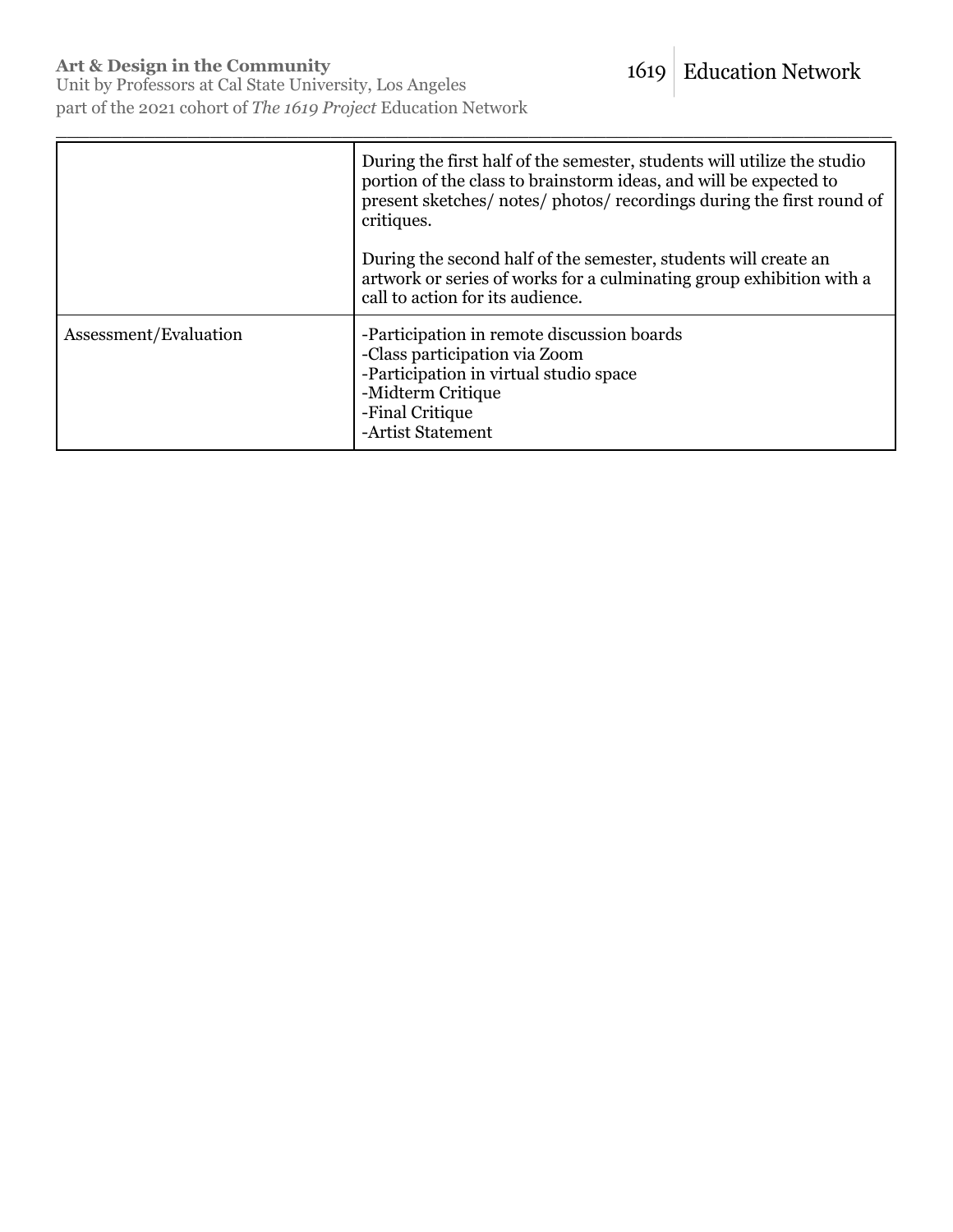Unit by Professors at Cal State University, Los Angeles part of the 2021 cohort of *The 1619 Project* Education Network

|                       | During the first half of the semester, students will utilize the studio<br>portion of the class to brainstorm ideas, and will be expected to<br>present sketches/ notes/ photos/ recordings during the first round of<br>critiques. |
|-----------------------|-------------------------------------------------------------------------------------------------------------------------------------------------------------------------------------------------------------------------------------|
|                       | During the second half of the semester, students will create an<br>artwork or series of works for a culminating group exhibition with a<br>call to action for its audience.                                                         |
| Assessment/Evaluation | -Participation in remote discussion boards<br>-Class participation via Zoom<br>-Participation in virtual studio space<br>-Midterm Critique<br>-Final Critique<br>-Artist Statement                                                  |

\_\_\_\_\_\_\_\_\_\_\_\_\_\_\_\_\_\_\_\_\_\_\_\_\_\_\_\_\_\_\_\_\_\_\_\_\_\_\_\_\_\_\_\_\_\_\_\_\_\_\_\_\_\_\_\_\_\_\_\_\_\_\_\_\_\_\_\_\_\_\_\_\_\_\_\_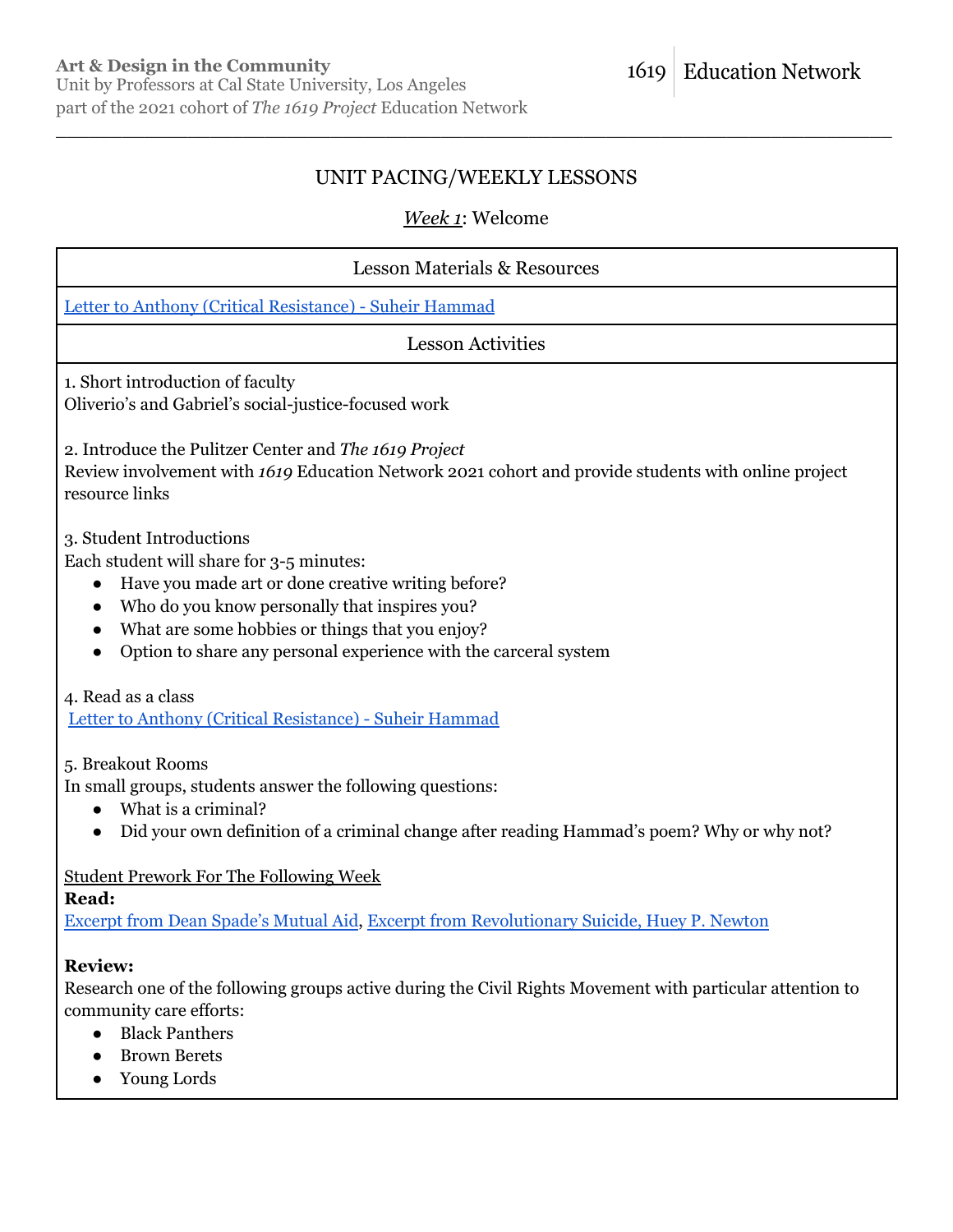### UNIT PACING/WEEKLY LESSONS

\_\_\_\_\_\_\_\_\_\_\_\_\_\_\_\_\_\_\_\_\_\_\_\_\_\_\_\_\_\_\_\_\_\_\_\_\_\_\_\_\_\_\_\_\_\_\_\_\_\_\_\_\_\_\_\_\_\_\_\_\_\_\_\_\_\_\_\_\_\_\_\_\_\_\_\_

### *Week 1*: Welcome

# Lesson Materials & Resources Letter to Anthony (Critical [Resistance\)](https://asterixjournal.com/letter-to-anthony-critical-resistance-by-suheir-hammad/) - Suheir Hammad Lesson Activities 1. Short introduction of faculty Oliverio's and Gabriel's social-justice-focused work 2. Introduce the Pulitzer Center and *The 1619 Project* Review involvement with *1619* Education Network 2021 cohort and provide students with online project resource links 3. Student Introductions Each student will share for 3-5 minutes: ● Have you made art or done creative writing before? • Who do you know personally that inspires you? • What are some hobbies or things that you enjoy? ● Option to share any personal experience with the carceral system 4. Read as a class Letter to Anthony (Critical [Resistance\)](https://asterixjournal.com/letter-to-anthony-critical-resistance-by-suheir-hammad/) - Suheir Hammad 5. Breakout Rooms In small groups, students answer the following questions: ● What is a criminal? • Did your own definition of a criminal change after reading Hammad's poem? Why or why not?

#### Student Prework For The Following Week

**Read:**

[Excerpt](https://1619education.org/sites/default/files/2022-02/Dean%20Spade%20-%20Mutual%20Aid.pdf) from Dean Spade's Mutual Aid, Excerpt from [Revolutionary](https://1619education.org/sites/default/files/2022-02/Newton%20-%20Revolutionary%20Suicide.pdf) Suicide, Huey P. Newton

#### **Review:**

Research one of the following groups active during the Civil Rights Movement with particular attention to community care efforts:

- Black Panthers
- Brown Berets
- Young Lords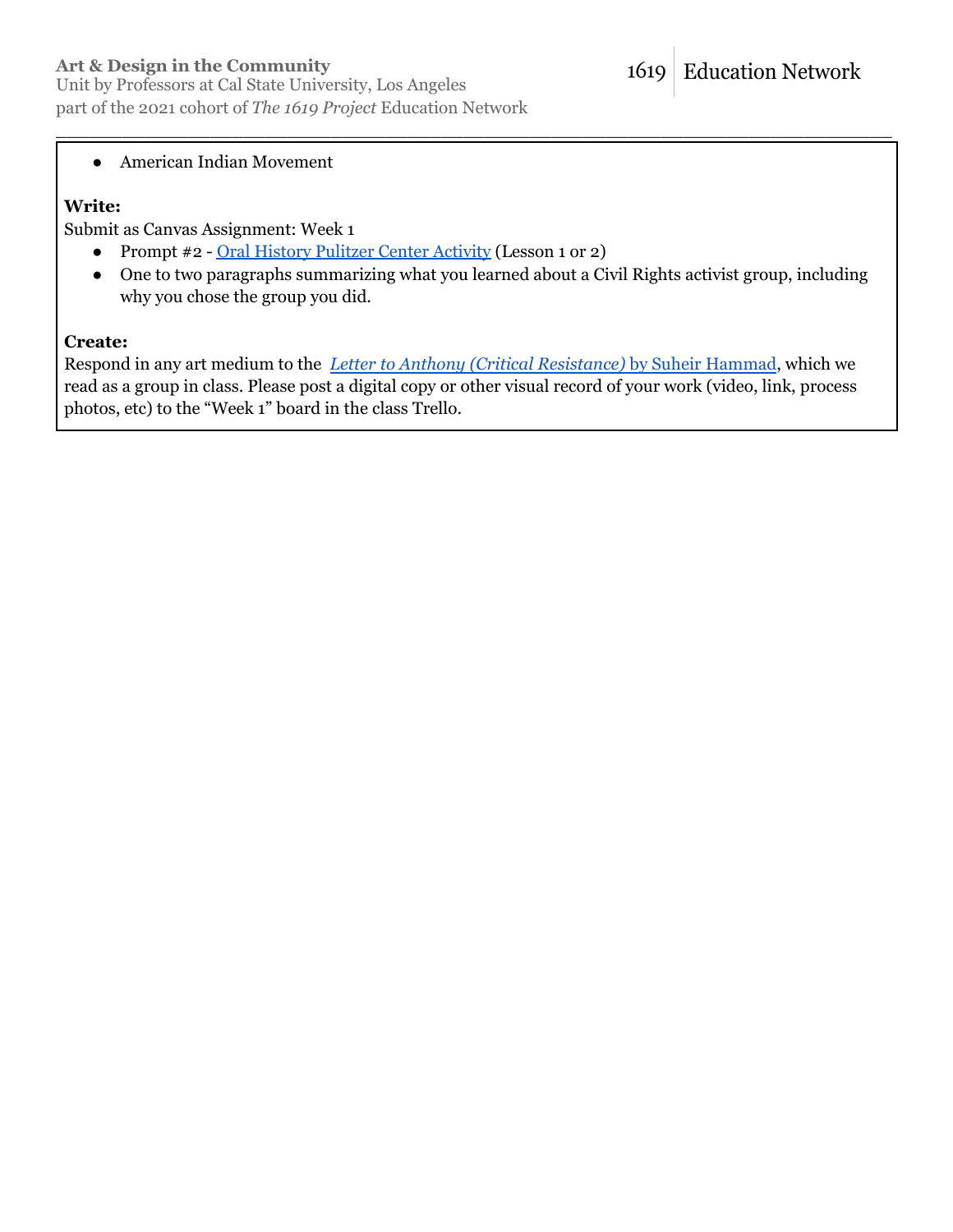### **Art & Design in the Community**

#### ● American Indian Movement

### **Write:**

Submit as Canvas Assignment: Week 1

- Prompt #2 Oral History [Pulitzer](https://pulitzercenter.org/builder/lesson/activities-extend-student-engagement) Center Activity (Lesson 1 or 2)
- One to two paragraphs summarizing what you learned about a Civil Rights activist group, including why you chose the group you did.

\_\_\_\_\_\_\_\_\_\_\_\_\_\_\_\_\_\_\_\_\_\_\_\_\_\_\_\_\_\_\_\_\_\_\_\_\_\_\_\_\_\_\_\_\_\_\_\_\_\_\_\_\_\_\_\_\_\_\_\_\_\_\_\_\_\_\_\_\_\_\_\_\_\_\_\_

#### **Create:**

Respond in any art medium to the *Letter to Anthony (Critical [Resistance\)](https://asterixjournal.com/letter-to-anthony-critical-resistance-by-suheir-hammad/)* by Suheir Hammad, which we read as a group in class. Please post a digital copy or other visual record of your work (video, link, process photos, etc) to the "Week 1" board in the class Trello.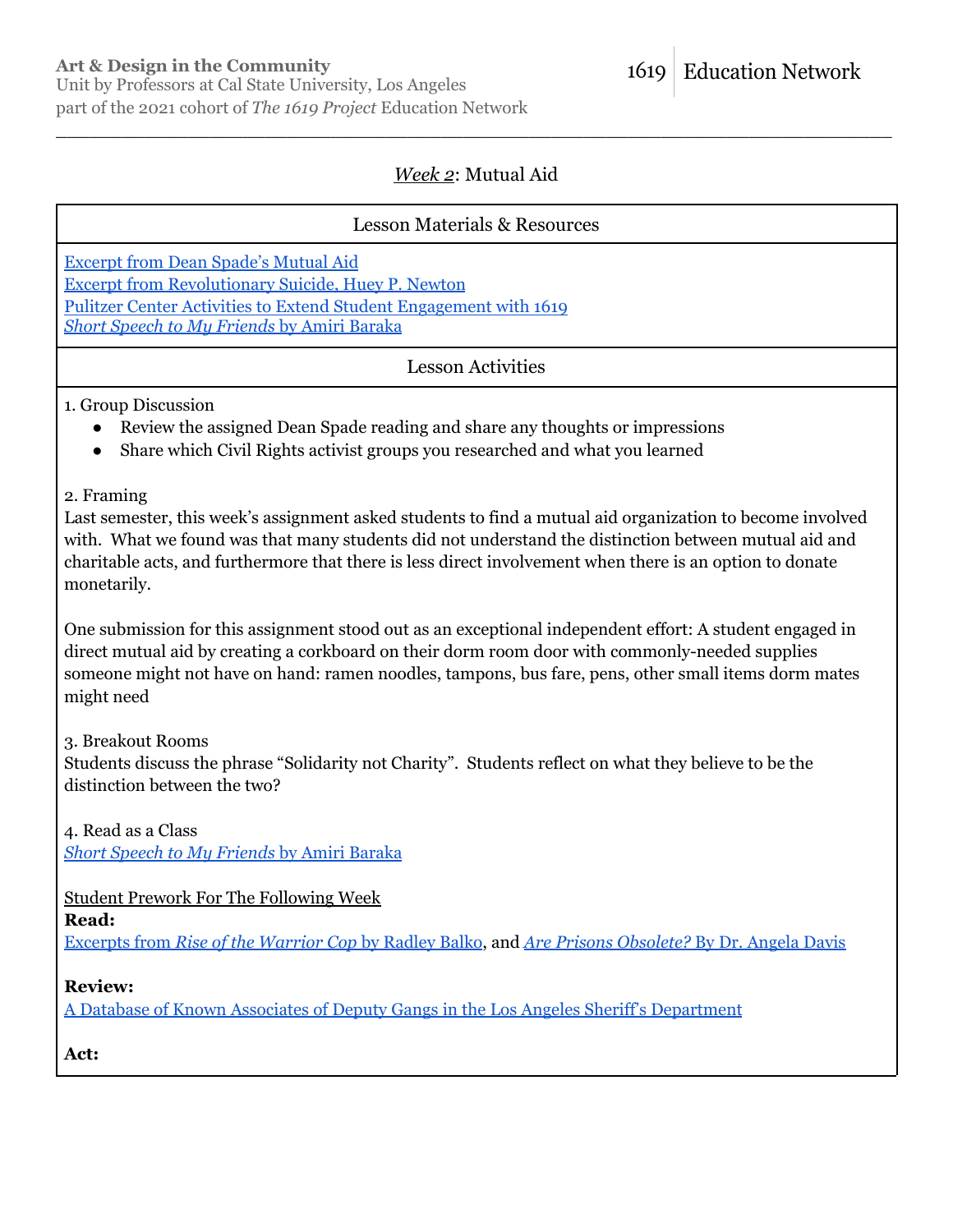1619

**Education Network** 

### *Week 2*: Mutual Aid

\_\_\_\_\_\_\_\_\_\_\_\_\_\_\_\_\_\_\_\_\_\_\_\_\_\_\_\_\_\_\_\_\_\_\_\_\_\_\_\_\_\_\_\_\_\_\_\_\_\_\_\_\_\_\_\_\_\_\_\_\_\_\_\_\_\_\_\_\_\_\_\_\_\_\_\_

### Lesson Materials & Resources

[Excerpt](https://1619education.org/sites/default/files/2022-02/Dean%20Spade%20-%20Mutual%20Aid.pdf) from Dean Spade's Mutual Aid Excerpt from [Revolutionary](https://1619education.org/sites/default/files/2022-02/Newton%20-%20Revolutionary%20Suicide.pdf) Suicide, Huey P. Newton

Pulitzer Center Activities to Extend Student [Engagement](https://pulitzercenter.org/builder/lesson/activities-extend-student-engagement) with 1619 *Short Speech to My [Friends](https://www.poetryfoundation.org/poems/58014/short-speech-to-my-friends)* by Amiri Baraka

Lesson Activities

#### 1. Group Discussion

- Review the assigned Dean Spade reading and share any thoughts or impressions
- Share which Civil Rights activist groups you researched and what you learned

2. Framing

Last semester, this week's assignment asked students to find a mutual aid organization to become involved with. What we found was that many students did not understand the distinction between mutual aid and charitable acts, and furthermore that there is less direct involvement when there is an option to donate monetarily.

One submission for this assignment stood out as an exceptional independent effort: A student engaged in direct mutual aid by creating a corkboard on their dorm room door with commonly-needed supplies someone might not have on hand: ramen noodles, tampons, bus fare, pens, other small items dorm mates might need

3. Breakout Rooms

Students discuss the phrase "Solidarity not Charity". Students reflect on what they believe to be the distinction between the two?

4. Read as a Class

*Short Speech to My [Friends](https://www.poetryfoundation.org/poems/58014/short-speech-to-my-friends)* by Amiri Baraka

Student Prework For The Following Week

**Read:**

[Excerpts](https://1619education.org/sites/default/files/2022-02/Balko%20-%20Rise%20of%20the%20Warrior%20Cop.pdf) from *Rise of the Warrior Cop* by Radley Balko, and *Are Prisons [Obsolete?](https://1619education.org/sites/default/files/2022-02/Are%20Prisons%20Obsolete.pdf)* By Dr. Angela Davis

**Review:**

A Database of Known Associates of Deputy Gangs in the Los Angeles Sheriff's [Department](https://lasdgangs.knock-la.com/)

**Act:**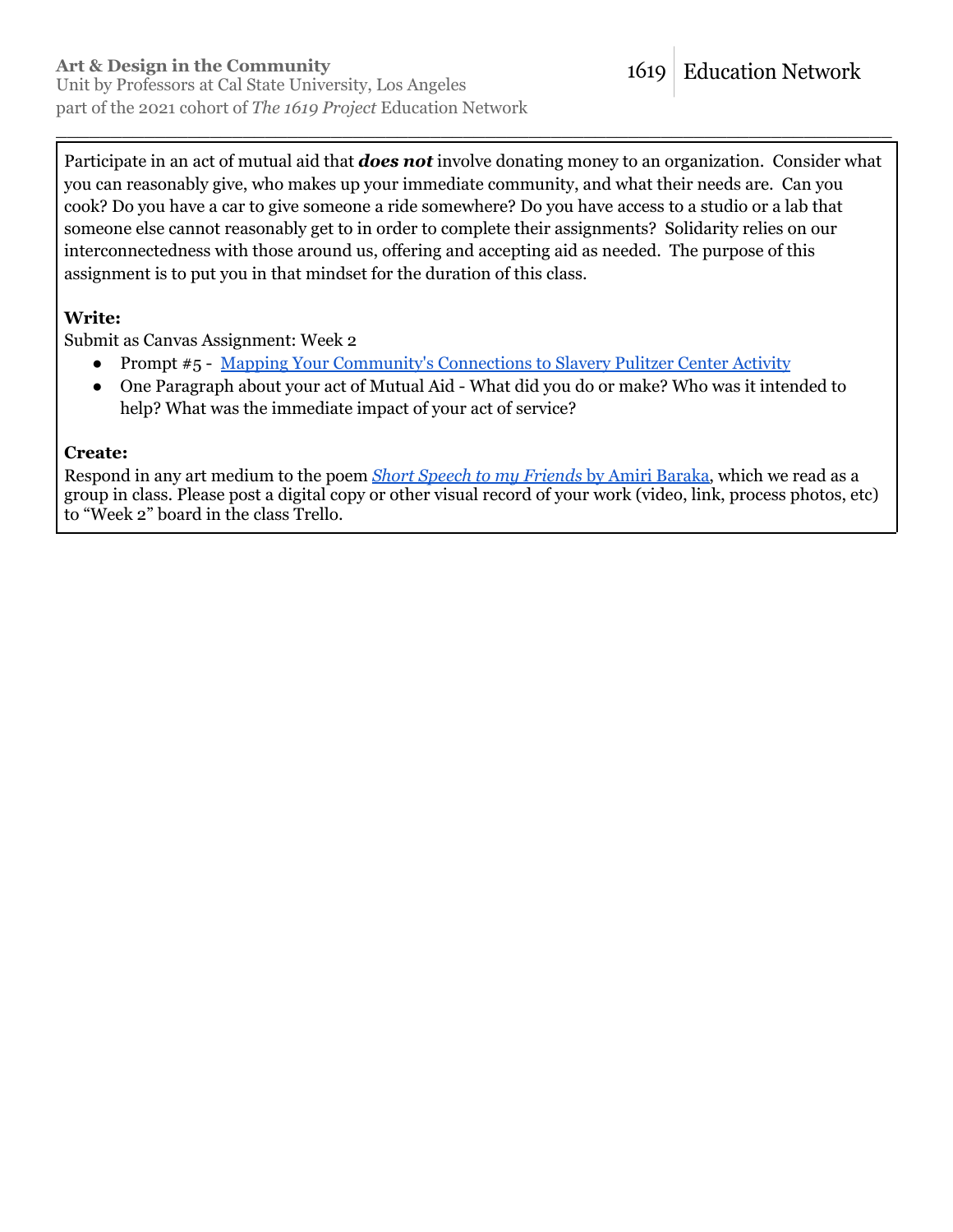Participate in an act of mutual aid that *does not* involve donating money to an organization. Consider what you can reasonably give, who makes up your immediate community, and what their needs are. Can you cook? Do you have a car to give someone a ride somewhere? Do you have access to a studio or a lab that someone else cannot reasonably get to in order to complete their assignments? Solidarity relies on our interconnectedness with those around us, offering and accepting aid as needed. The purpose of this assignment is to put you in that mindset for the duration of this class.

\_\_\_\_\_\_\_\_\_\_\_\_\_\_\_\_\_\_\_\_\_\_\_\_\_\_\_\_\_\_\_\_\_\_\_\_\_\_\_\_\_\_\_\_\_\_\_\_\_\_\_\_\_\_\_\_\_\_\_\_\_\_\_\_\_\_\_\_\_\_\_\_\_\_\_\_

### **Write:**

Submit as Canvas Assignment: Week 2

- Prompt #5 Mapping Your [Community's](https://pulitzercenter.org/builder/lesson/activities-extend-student-engagement) Connections to Slavery Pulitzer Center Activity
- One Paragraph about your act of Mutual Aid What did you do or make? Who was it intended to help? What was the immediate impact of your act of service?

### **Create:**

Respond in any art medium to the poem *Short Speech to my [Friends](https://www.poetryfoundation.org/poems/58014/short-speech-to-my-friends)* by Amiri Baraka, which we read as a group in class. Please post a digital copy or other visual record of your work (video, link, process photos, etc) to "Week 2" board in the class Trello.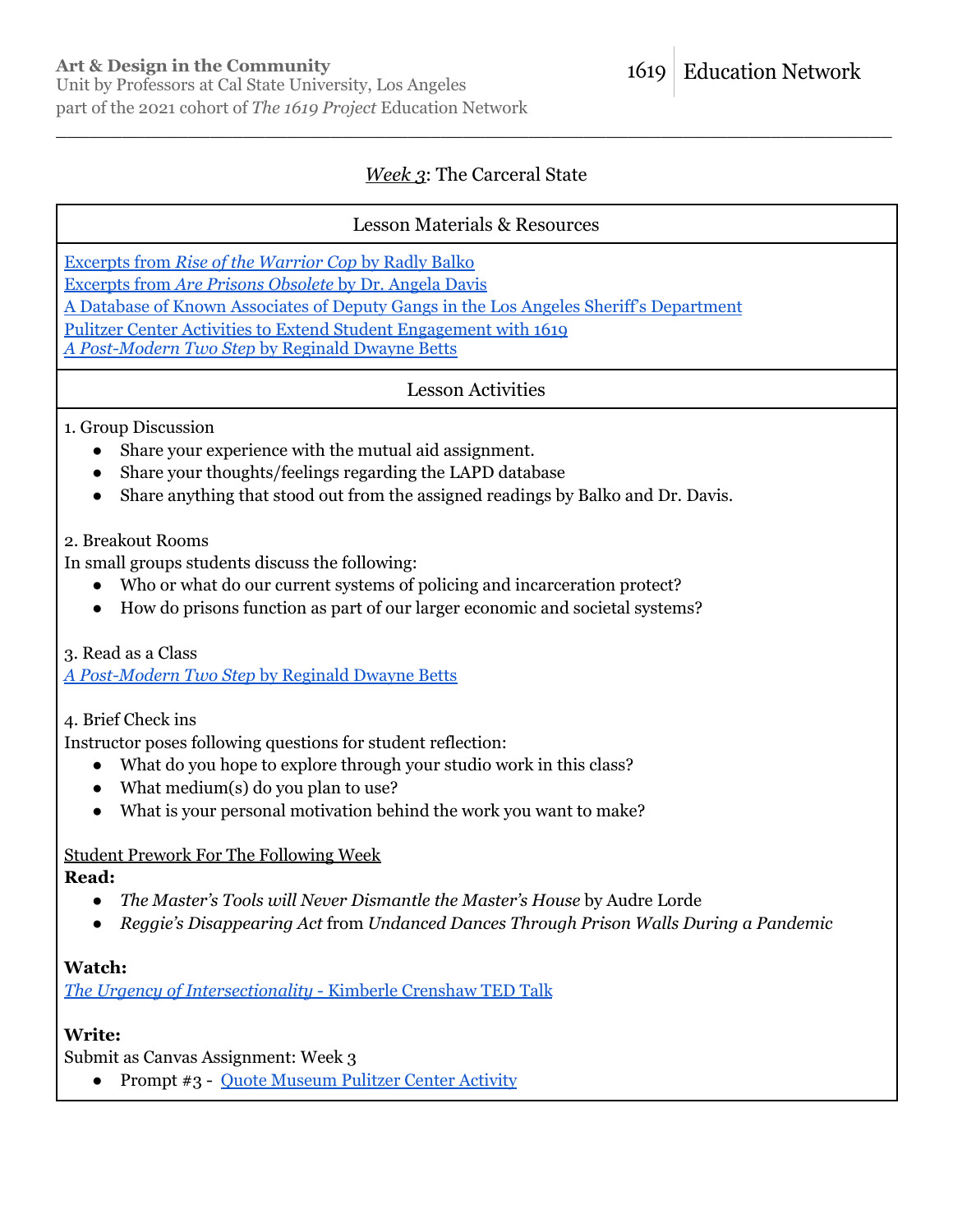### *Week 3*: The Carceral State

\_\_\_\_\_\_\_\_\_\_\_\_\_\_\_\_\_\_\_\_\_\_\_\_\_\_\_\_\_\_\_\_\_\_\_\_\_\_\_\_\_\_\_\_\_\_\_\_\_\_\_\_\_\_\_\_\_\_\_\_\_\_\_\_\_\_\_\_\_\_\_\_\_\_\_\_

### Lesson Materials & Resources

[Excerpts](https://1619education.org/sites/default/files/2022-02/Balko%20-%20Rise%20of%20the%20Warrior%20Cop.pdf) from *Rise of the Warrior Cop* by Radly Balko

[Excerpts](https://1619education.org/sites/default/files/2022-02/Are%20Prisons%20Obsolete.pdf) from *Are Prisons Obsolete* by Dr. Angela Davis

A Database of Known Associates of Deputy Gangs in the Los Angeles Sheriff's [Department](https://lasdgangs.knock-la.com/)

Pulitzer Center Activities to Extend Student [Engagement](https://pulitzercenter.org/builder/lesson/activities-extend-student-engagement) with 1619

*A [Post-Modern](https://www.poetryfoundation.org/poetrymagazine/poems/55855/a-postmodern-two-step) Two Step* by Reginald Dwayne Betts

Lesson Activities

1. Group Discussion

- Share your experience with the mutual aid assignment.
- Share your thoughts/feelings regarding the LAPD database
- Share anything that stood out from the assigned readings by Balko and Dr. Davis.

2. Breakout Rooms

In small groups students discuss the following:

- Who or what do our current systems of policing and incarceration protect?
- How do prisons function as part of our larger economic and societal systems?

3. Read as a Class

*A [Post-Modern](https://www.poetryfoundation.org/poetrymagazine/poems/55855/a-postmodern-two-step) Two Step* by Reginald Dwayne Betts

4. Brief Check ins

Instructor poses following questions for student reflection:

- What do you hope to explore through your studio work in this class?
- What medium(s) do you plan to use?
- What is your personal motivation behind the work you want to make?

### Student Prework For The Following Week

**Read:**

- *The Master's Tools will Never Dismantle the Master's House* by Audre Lorde
- *Reggie's Disappearing Act* from *Undanced Dances Through Prison Walls During a Pandemic*

### **Watch:**

*The Urgency of [Intersectionality](https://www.ted.com/talks/kimberle_crenshaw_the_urgency_of_intersectionality?language=en)* - Kimberle Crenshaw TED Talk

### **Write:**

Submit as Canvas Assignment: Week 3

● Prompt #3 - Ouote [Museum](https://pulitzercenter.org/builder/lesson/activities-extend-student-engagement) Pulitzer Center Activity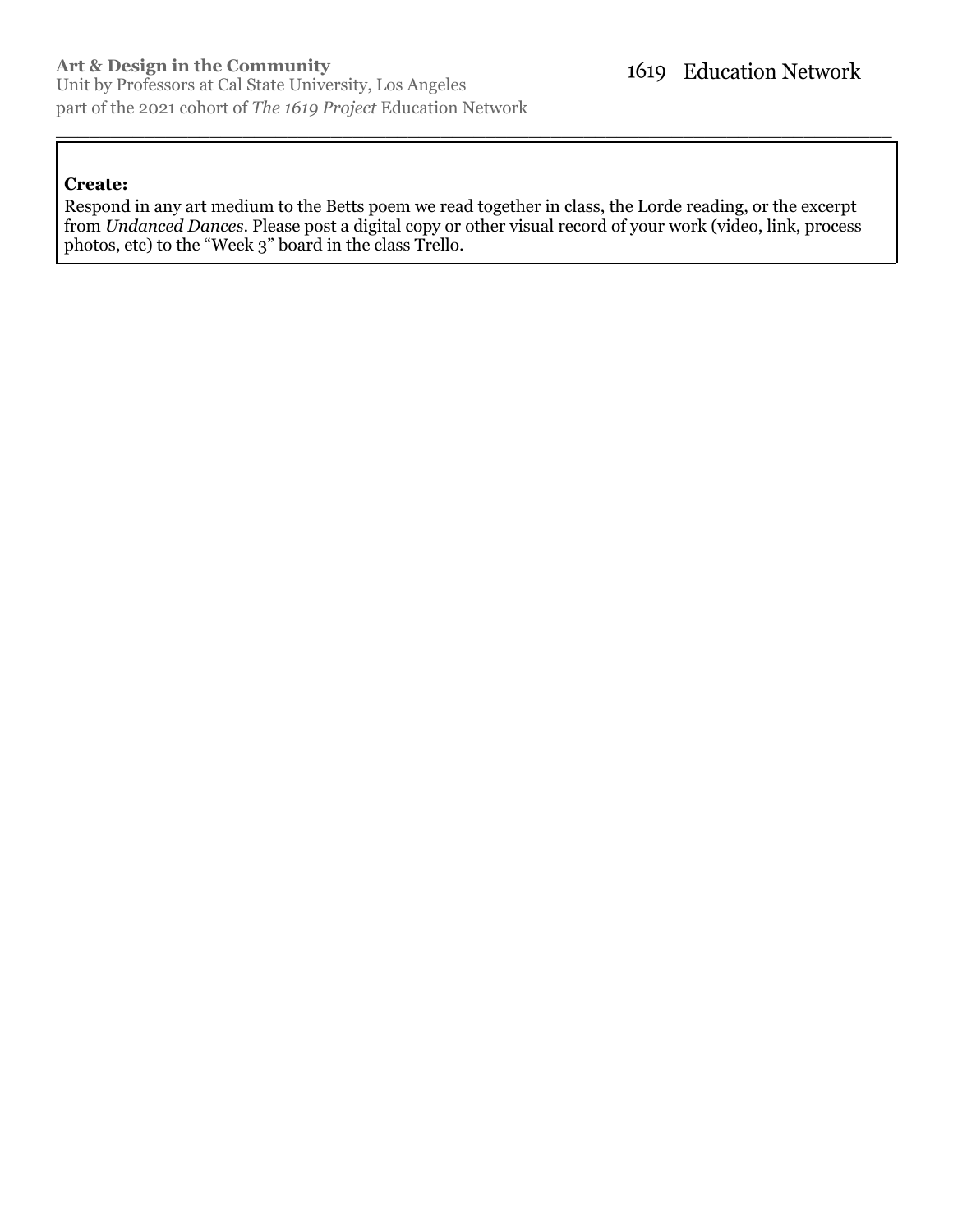#### **Create:**

Respond in any art medium to the Betts poem we read together in class, the Lorde reading, or the excerpt from *Undanced Dances*. Please post a digital copy or other visual record of your work (video, link, process photos, etc) to the "Week 3" board in the class Trello.

\_\_\_\_\_\_\_\_\_\_\_\_\_\_\_\_\_\_\_\_\_\_\_\_\_\_\_\_\_\_\_\_\_\_\_\_\_\_\_\_\_\_\_\_\_\_\_\_\_\_\_\_\_\_\_\_\_\_\_\_\_\_\_\_\_\_\_\_\_\_\_\_\_\_\_\_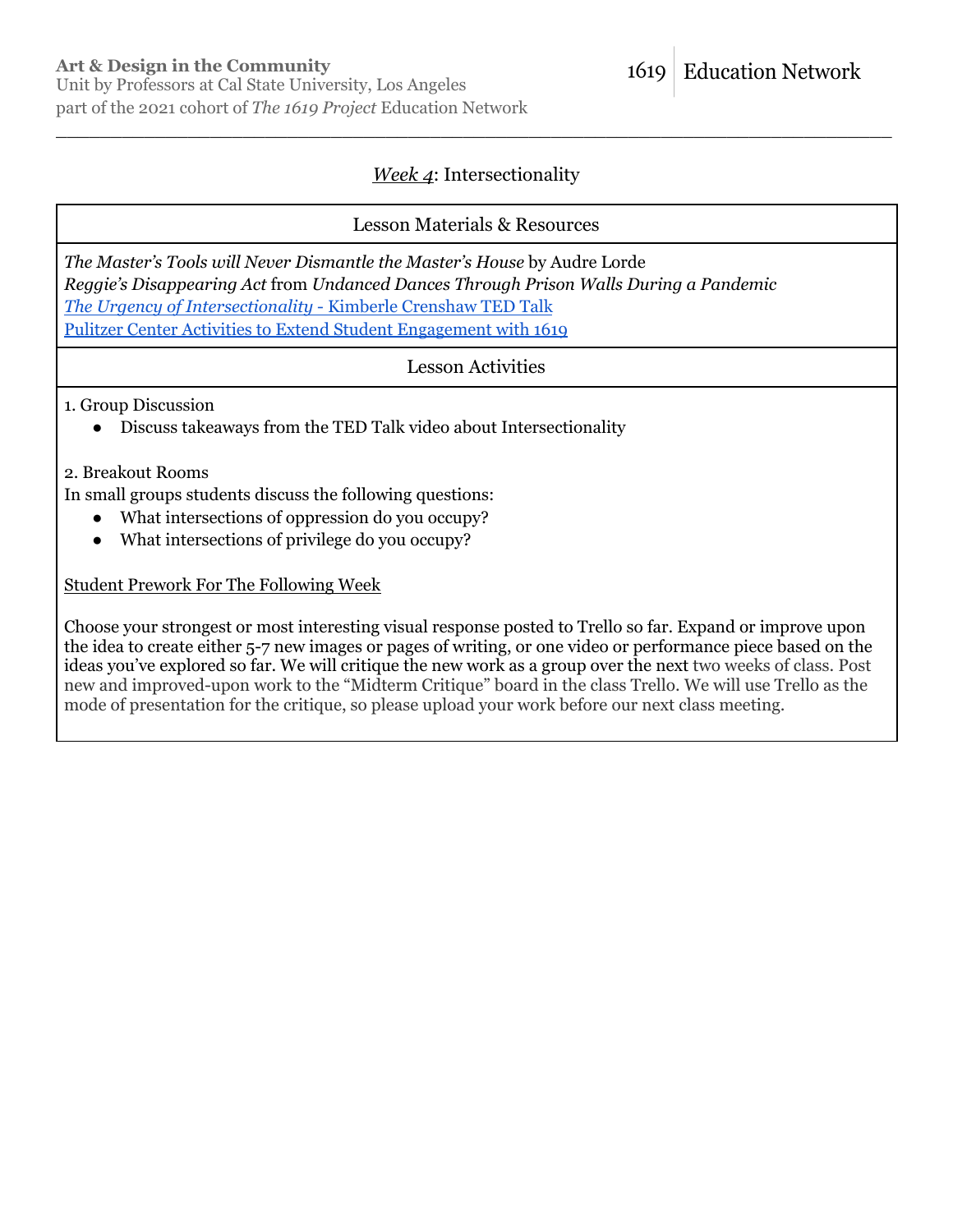### *Week 4*: Intersectionality

\_\_\_\_\_\_\_\_\_\_\_\_\_\_\_\_\_\_\_\_\_\_\_\_\_\_\_\_\_\_\_\_\_\_\_\_\_\_\_\_\_\_\_\_\_\_\_\_\_\_\_\_\_\_\_\_\_\_\_\_\_\_\_\_\_\_\_\_\_\_\_\_\_\_\_\_

### Lesson Materials & Resources

*The Master's Tools will Never Dismantle the Master's House* by Audre Lorde *Reggie's Disappearing Act* from *Undanced Dances Through Prison Walls During a Pandemic The Urgency of [Intersectionality](https://www.ted.com/talks/kimberle_crenshaw_the_urgency_of_intersectionality?language=en)* - Kimberle Crenshaw TED Talk Pulitzer Center Activities to Extend Student [Engagement](https://pulitzercenter.org/builder/lesson/activities-extend-student-engagement) with 1619

#### Lesson Activities

#### 1. Group Discussion

● Discuss takeaways from the TED Talk video about Intersectionality

#### 2. Breakout Rooms

In small groups students discuss the following questions:

- What intersections of oppression do you occupy?
- What intersections of privilege do you occupy?

#### Student Prework For The Following Week

Choose your strongest or most interesting visual response posted to Trello so far. Expand or improve upon the idea to create either 5-7 new images or pages of writing, or one video or performance piece based on the ideas you've explored so far. We will critique the new work as a group over the next two weeks of class. Post new and improved-upon work to the "Midterm Critique" board in the class Trello. We will use Trello as the mode of presentation for the critique, so please upload your work before our next class meeting.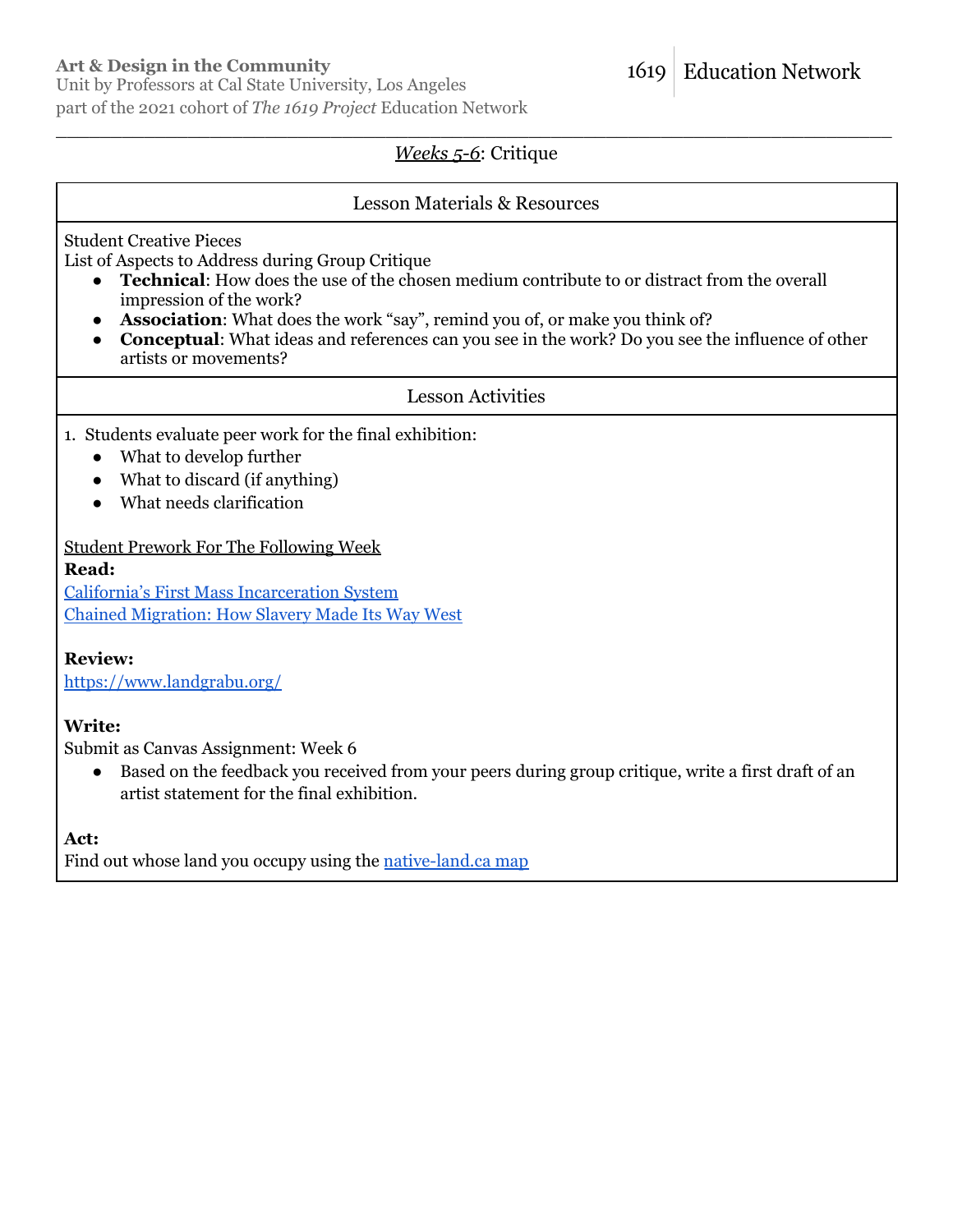### **Art & Design in the Community**

Unit by Professors at Cal State University, Los Angeles part of the 2021 cohort of *The 1619 Project* Education Network

#### \_\_\_\_\_\_\_\_\_\_\_\_\_\_\_\_\_\_\_\_\_\_\_\_\_\_\_\_\_\_\_\_\_\_\_\_\_\_\_\_\_\_\_\_\_\_\_\_\_\_\_\_\_\_\_\_\_\_\_\_\_\_\_\_\_\_\_\_\_\_\_\_\_\_\_\_ *Weeks 5-6*: Critique

#### Lesson Materials & Resources

Student Creative Pieces

List of Aspects to Address during Group Critique

- **Technical:** How does the use of the chosen medium contribute to or distract from the overall impression of the work?
- **Association**: What does the work "say", remind you of, or make you think of?
- **Conceptual**: What ideas and references can you see in the work? Do you see the influence of other artists or movements?

### Lesson Activities

- 1. Students evaluate peer work for the final exhibition:
	- What to develop further
	- What to discard (if anything)
	- What needs clarification

#### Student Prework For The Following Week

#### **Read:**

California's First Mass [Incarceration](https://history.ucla.edu/sites/default/files/madley_article.pdf) System Chained [Migration:](https://pulitzercenter.org/sites/default/files/inline-images/kc3b4EirydAegLWVOu8ifDwb3hPwENzgp5KY0782ZvLsrvmRZZ.pdf) How Slavery Made Its Way West

### **Review:**

<https://www.landgrabu.org/>

### **Write:**

Submit as Canvas Assignment: Week 6

● Based on the feedback you received from your peers during group critique, write a first draft of an artist statement for the final exhibition.

**Act:**

Find out whose land you occupy using the [native-land.ca](https://native-land.ca/) map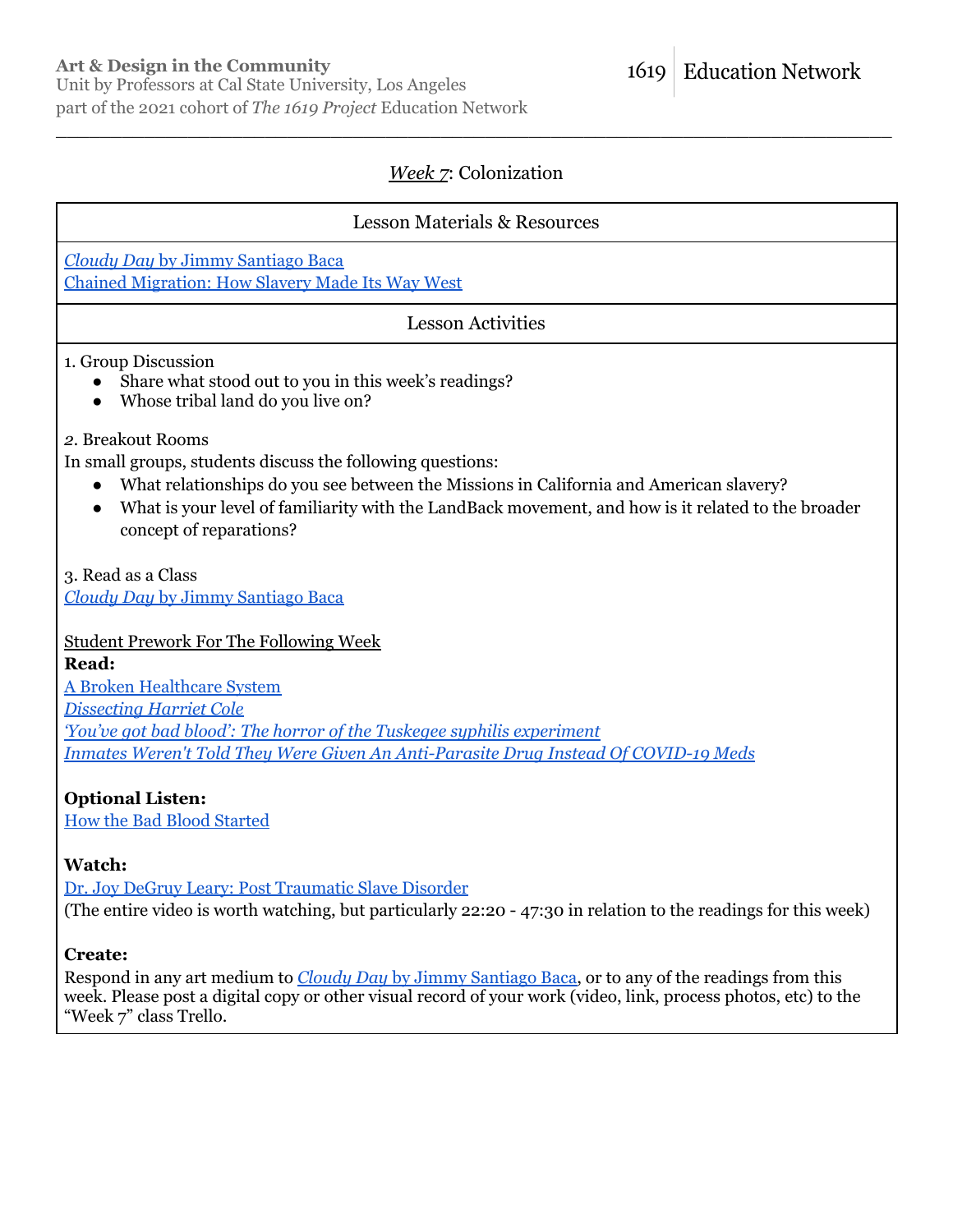### *Week 7*: Colonization

\_\_\_\_\_\_\_\_\_\_\_\_\_\_\_\_\_\_\_\_\_\_\_\_\_\_\_\_\_\_\_\_\_\_\_\_\_\_\_\_\_\_\_\_\_\_\_\_\_\_\_\_\_\_\_\_\_\_\_\_\_\_\_\_\_\_\_\_\_\_\_\_\_\_\_\_

### Lesson Materials & Resources

*Cloudy Day* by Jimmy [Santiago](https://www.poetryfoundation.org/poems/49563/cloudy-day-56d22bc3b944c) Baca Chained [Migration:](https://pulitzercenter.org/sites/default/files/inline-images/kc3b4EirydAegLWVOu8ifDwb3hPwENzgp5KY0782ZvLsrvmRZZ.pdf) How Slavery Made Its Way West

### Lesson Activities

1. Group Discussion

- Share what stood out to you in this week's readings?
- Whose tribal land do you live on?

#### *2.* Breakout Rooms

In small groups, students discuss the following questions:

- What relationships do you see between the Missions in California and American slavery?
- What is your level of familiarity with the LandBack movement, and how is it related to the broader concept of reparations?

3. Read as a Class

*Cloudy Day* by Jimmy [Santiago](https://www.poetryfoundation.org/poems/49563/cloudy-day-56d22bc3b944c) Baca

### Student Prework For The Following Week

**Read:**

A Broken [Healthcare](https://pulitzercenter.org/sites/default/files/inline-images/sZgqSRzeybbrKrepRI1P1kbGryvqVxDpwNP3H3n7N7MDwvE7n2.pdf) System *[Dissecting](https://drexel.edu/legacy-center/blog/overview/2018/november/dissecting-harriet-cole-uncovering-womens-history-in-the-archives/) Harriet Cole 'You've got bad blood': The horror of the Tuskegee syphilis [experiment](https://www.washingtonpost.com/news/retropolis/wp/2017/05/16/youve-got-bad-blood-the-horror-of-the-tuskegee-syphilis-experiment/) Inmates Weren't Told They Were Given An [Anti-Parasite](https://www.npr.org/2021/09/02/1033586429/anti-parasite-drug-covid-19-ivermectin-washington-county-arkansas) Drug Instead Of COVID-19 Meds*

**Optional Listen:**

How the Bad Blood [Started](https://www.nytimes.com/2019/09/13/podcasts/1619-slavery-healthcare.html)

### **Watch:**

Dr. Joy DeGruy Leary: Post [Traumatic](https://www.youtube.com/watch?v=BGjSday7f_8) Slave Disorder (The entire video is worth watching, but particularly 22:20 - 47:30 in relation to the readings for this week)

### **Create:**

Respond in any art medium to *Cloudy Day* by Jimmy [Santiago](https://www.poetryfoundation.org/poems/49563/cloudy-day-56d22bc3b944c) Baca, or to any of the readings from this week. Please post a digital copy or other visual record of your work (video, link, process photos, etc) to the "Week 7" class Trello.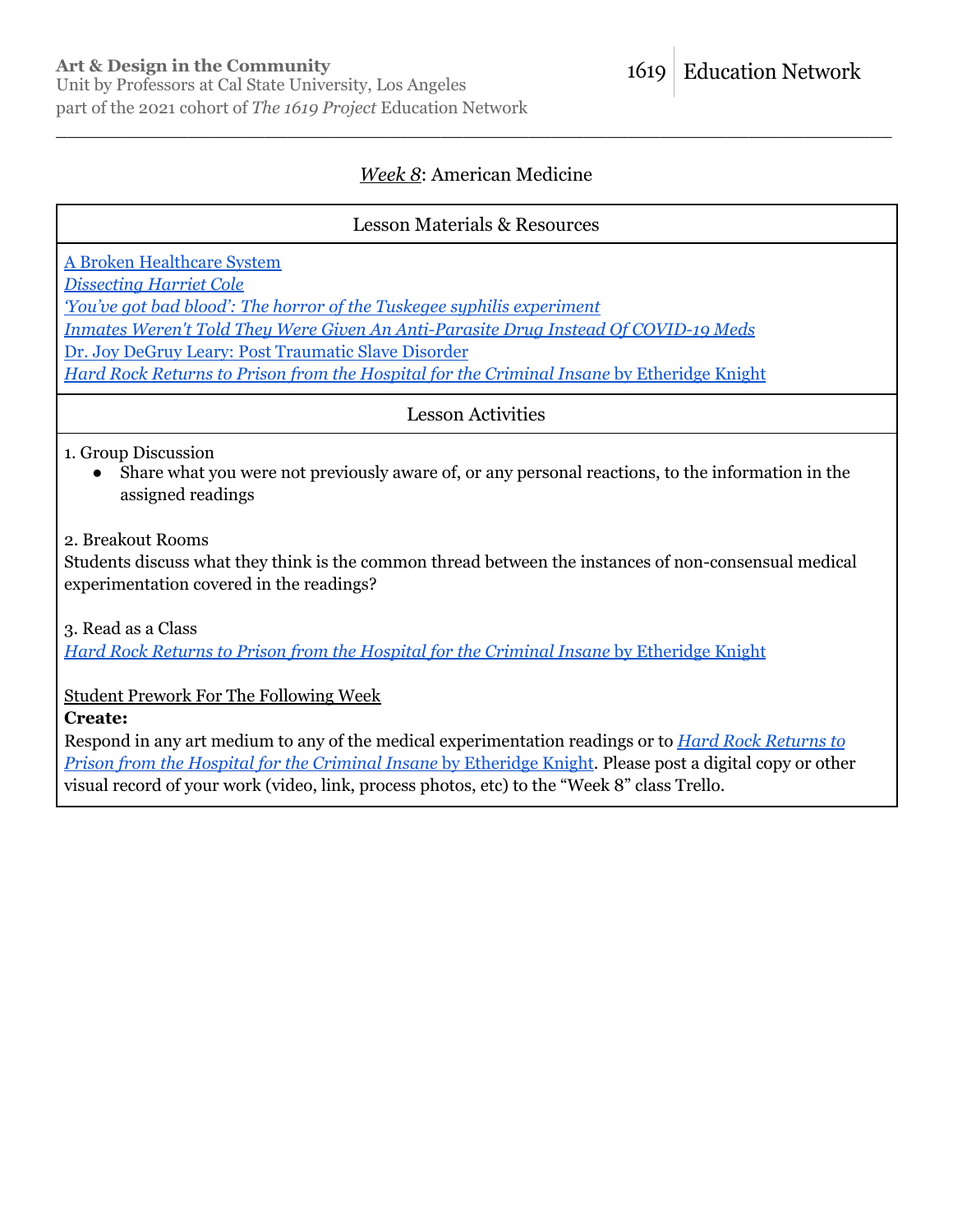### *Week 8*: American Medicine

\_\_\_\_\_\_\_\_\_\_\_\_\_\_\_\_\_\_\_\_\_\_\_\_\_\_\_\_\_\_\_\_\_\_\_\_\_\_\_\_\_\_\_\_\_\_\_\_\_\_\_\_\_\_\_\_\_\_\_\_\_\_\_\_\_\_\_\_\_\_\_\_\_\_\_\_

### Lesson Materials & Resources

A Broken [Healthcare](https://pulitzercenter.org/sites/default/files/inline-images/sZgqSRzeybbrKrepRI1P1kbGryvqVxDpwNP3H3n7N7MDwvE7n2.pdf) System

*[Dissecting](https://drexel.edu/legacy-center/blog/overview/2018/november/dissecting-harriet-cole-uncovering-womens-history-in-the-archives/) Harriet Cole*

*'You've got bad blood': The horror of the Tuskegee syphilis [experiment](https://www.washingtonpost.com/news/retropolis/wp/2017/05/16/youve-got-bad-blood-the-horror-of-the-tuskegee-syphilis-experiment/)*

*Inmates Weren't Told They Were Given An [Anti-Parasite](https://www.npr.org/2021/09/02/1033586429/anti-parasite-drug-covid-19-ivermectin-washington-county-arkansas) Drug Instead Of COVID-19 Meds*

Dr. Joy DeGruy Leary: Post [Traumatic](https://www.youtube.com/watch?v=BGjSday7f_8) Slave Disorder

*Hard Rock Returns to Prison from the Hospital for the Criminal Insane* by [Etheridge](https://www.poetryfoundation.org/poems/51367/hard-rock-returns-to-prison-from-the-hospital-for-the-criminal-insane) Knight

Lesson Activities

1. Group Discussion

Share what you were not previously aware of, or any personal reactions, to the information in the assigned readings

2. Breakout Rooms

Students discuss what they think is the common thread between the instances of non-consensual medical experimentation covered in the readings?

3. Read as a Class

*Hard Rock Returns to Prison from the Hospital for the Criminal Insane* by [Etheridge](https://www.poetryfoundation.org/poems/51367/hard-rock-returns-to-prison-from-the-hospital-for-the-criminal-insane) Knight

Student Prework For The Following Week

**Create:**

Respond in any art medium to any of the medical experimentation readings or to *Hard Rock [Returns](https://www.poetryfoundation.org/poems/51367/hard-rock-returns-to-prison-from-the-hospital-for-the-criminal-insane) to Prison from the Hospital for the Criminal Insane* by [Etheridge](https://www.poetryfoundation.org/poems/51367/hard-rock-returns-to-prison-from-the-hospital-for-the-criminal-insane) Knight. Please post a digital copy or other visual record of your work (video, link, process photos, etc) to the "Week 8" class Trello.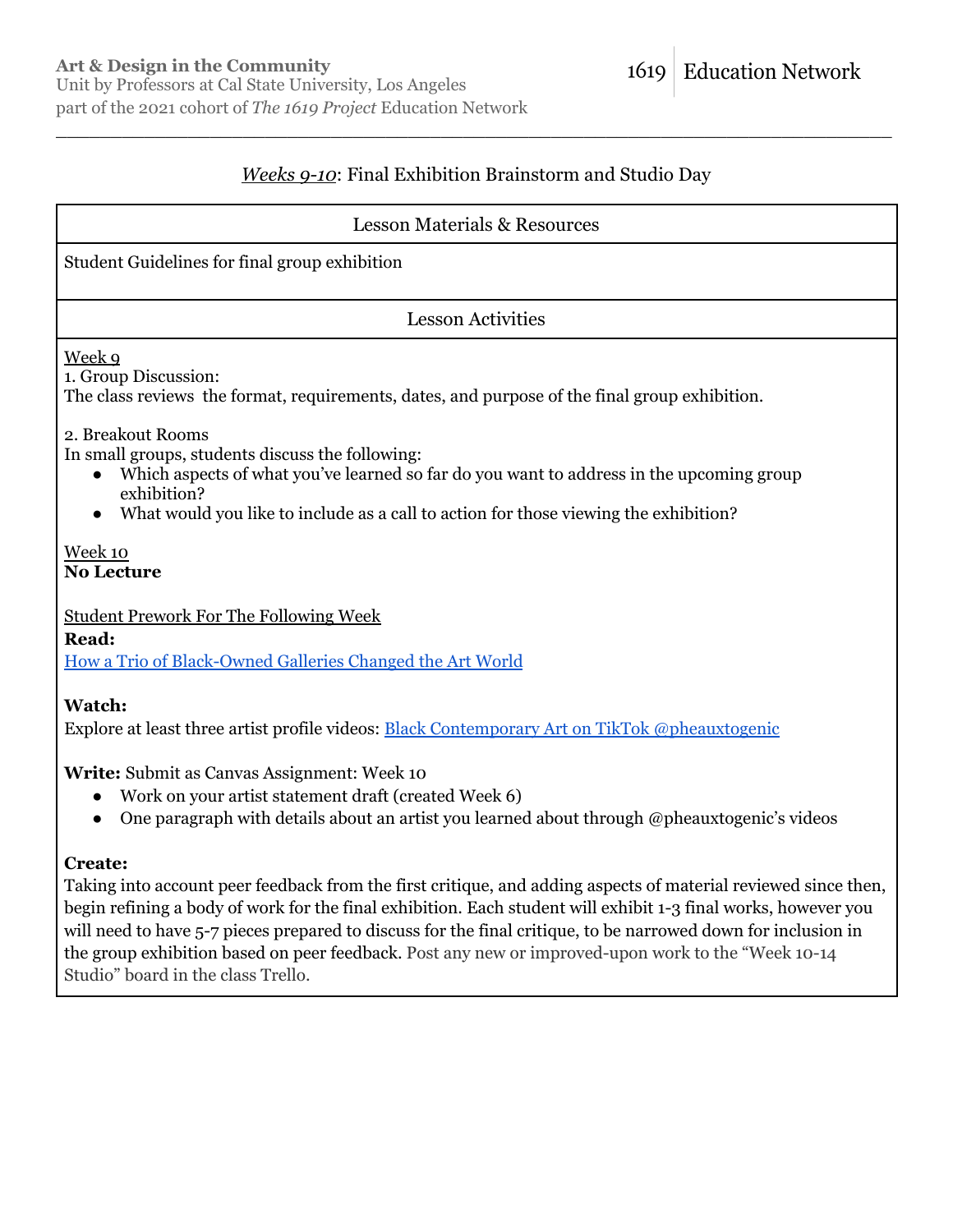### *Weeks 9-10*: Final Exhibition Brainstorm and Studio Day

\_\_\_\_\_\_\_\_\_\_\_\_\_\_\_\_\_\_\_\_\_\_\_\_\_\_\_\_\_\_\_\_\_\_\_\_\_\_\_\_\_\_\_\_\_\_\_\_\_\_\_\_\_\_\_\_\_\_\_\_\_\_\_\_\_\_\_\_\_\_\_\_\_\_\_\_

#### Lesson Materials & Resources

Student Guidelines for final group exhibition

#### Lesson Activities

Week 9

1. Group Discussion:

The class reviews the format, requirements, dates, and purpose of the final group exhibition.

2. Breakout Rooms

In small groups, students discuss the following:

- Which aspects of what you've learned so far do you want to address in the upcoming group exhibition?
- What would you like to include as a call to action for those viewing the exhibition?

#### Week 10 **No Lecture**

#### Student Prework For The Following Week

**Read:** How a Trio of [Black-Owned](https://www.nytimes.com/interactive/2020/04/13/t-magazine/black-art-galleries.html) Galleries Changed the Art World

#### **Watch:**

Explore at least three artist profile videos: Black Contemporary Art on TikTok [@pheauxtogenic](https://www.tiktok.com/@pheauxtogenic)

#### **Write:** Submit as Canvas Assignment: Week 10

- Work on your artist statement draft (created Week 6)
- One paragraph with details about an artist you learned about through @pheauxtogenic's videos

#### **Create:**

Taking into account peer feedback from the first critique, and adding aspects of material reviewed since then, begin refining a body of work for the final exhibition. Each student will exhibit 1-3 final works, however you will need to have 5-7 pieces prepared to discuss for the final critique, to be narrowed down for inclusion in the group exhibition based on peer feedback. Post any new or improved-upon work to the "Week 10-14 Studio" board in the class Trello.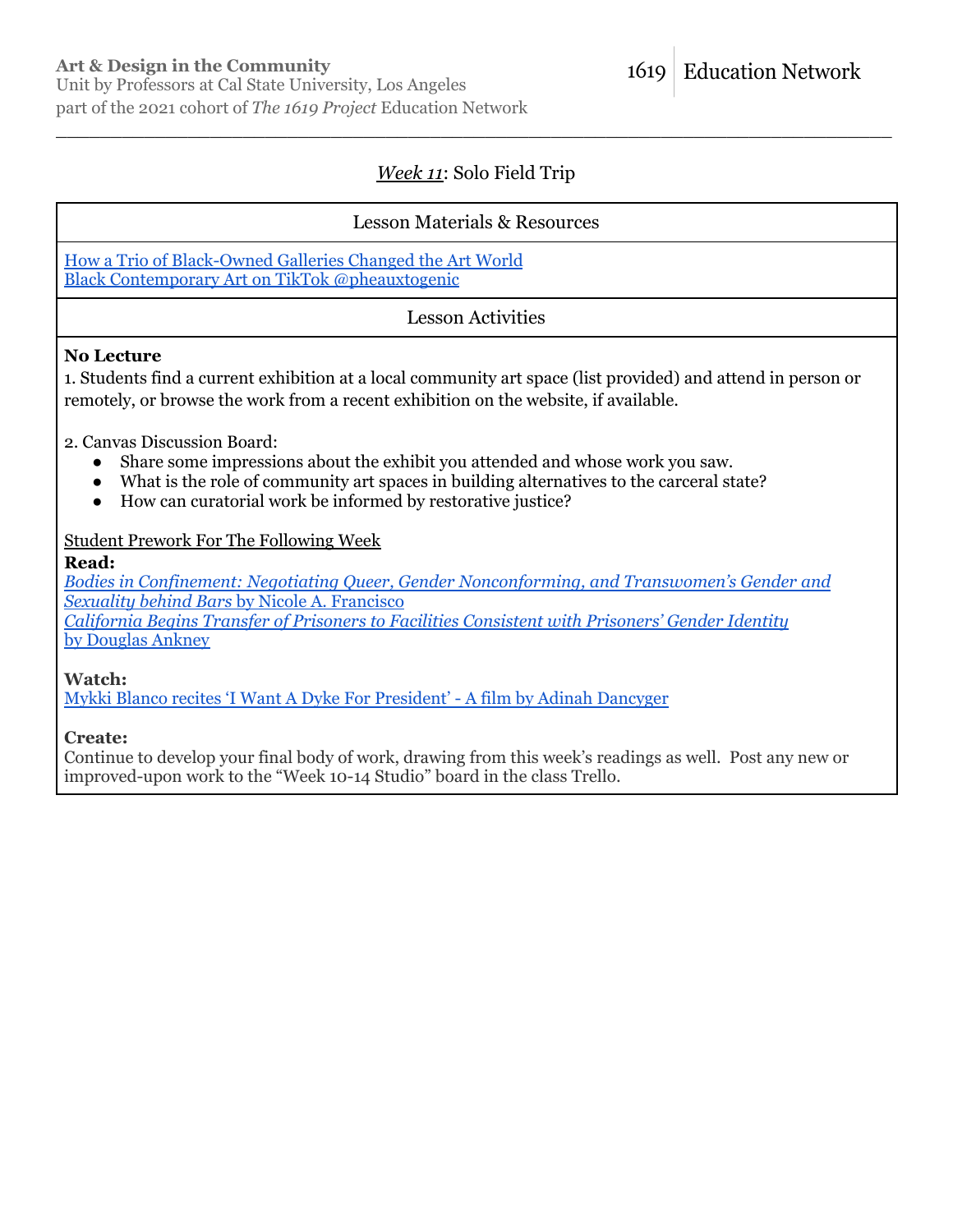### *Week 11*: Solo Field Trip

\_\_\_\_\_\_\_\_\_\_\_\_\_\_\_\_\_\_\_\_\_\_\_\_\_\_\_\_\_\_\_\_\_\_\_\_\_\_\_\_\_\_\_\_\_\_\_\_\_\_\_\_\_\_\_\_\_\_\_\_\_\_\_\_\_\_\_\_\_\_\_\_\_\_\_\_

#### Lesson Materials & Resources

How a Trio of [Black-Owned](https://www.nytimes.com/interactive/2020/04/13/t-magazine/black-art-galleries.html) Galleries Changed the Art World Black Contemporary Art on TikTok [@pheauxtogenic](https://www.tiktok.com/@pheauxtogenic)

#### Lesson Activities

#### **No Lecture**

1. Students find a current exhibition at a local community art space (list provided) and attend in person or remotely, or browse the work from a recent exhibition on the website, if available.

2. Canvas Discussion Board:

- Share some impressions about the exhibit you attended and whose work you saw.
- What is the role of community art spaces in building alternatives to the carceral state?
- How can curatorial work be informed by restorative justice?

#### Student Prework For The Following Week

#### **Read:**

*Bodies in Confinement: Negotiating Queer, Gender [Nonconforming,](https://1619education.org/sites/default/files/2022-02/Bodies%20in%20Confinement-%20Negotiating%20Queer%2C%20Gender%20Nonconforming%2C%20and%20Transwomen%E2%80%99s%20Gender%20and%20Sexuality%20behind%20Bars.pdf) and Transwomen's Gender and Sexuality behind Bars* by Nicole A. [Francisco](https://1619education.org/sites/default/files/2022-02/Bodies%20in%20Confinement-%20Negotiating%20Queer%2C%20Gender%20Nonconforming%2C%20and%20Transwomen%E2%80%99s%20Gender%20and%20Sexuality%20behind%20Bars.pdf) *California Begins Transfer of Prisoners to Facilities [Consistent](https://www.prisonlegalnews.org/news/2021/sep/1/california-begins-transfer-prisoners-facilities-consistent-prisoners-gender-identity/) with Prisoners' Gender Identity* by [Douglas](https://www.prisonlegalnews.org/news/2021/sep/1/california-begins-transfer-prisoners-facilities-consistent-prisoners-gender-identity/) Ankney

**Watch:**

Mykki Blanco recites 'I Want A Dyke For [President'](https://www.youtube.com/watch?v=y6DgawQdSlQ) - A film by Adinah Dancyger

**Create:**

Continue to develop your final body of work, drawing from this week's readings as well. Post any new or improved-upon work to the "Week 10-14 Studio" board in the class Trello.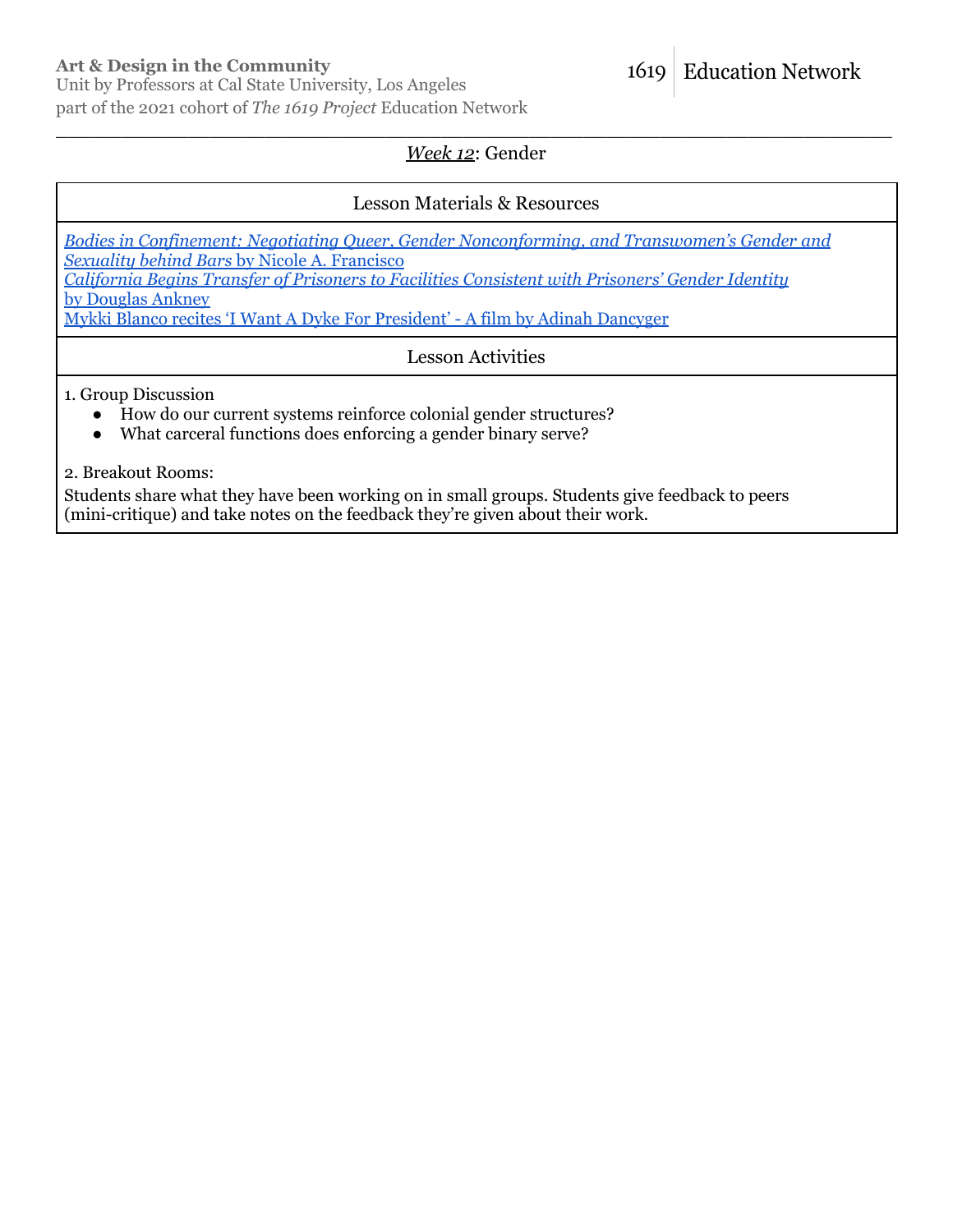### **Art & Design in the Community**

Unit by Professors at Cal State University, Los Angeles part of the 2021 cohort of *The 1619 Project* Education Network

#### \_\_\_\_\_\_\_\_\_\_\_\_\_\_\_\_\_\_\_\_\_\_\_\_\_\_\_\_\_\_\_\_\_\_\_\_\_\_\_\_\_\_\_\_\_\_\_\_\_\_\_\_\_\_\_\_\_\_\_\_\_\_\_\_\_\_\_\_\_\_\_\_\_\_\_\_ *Week 12*: Gender

### Lesson Materials & Resources

*Bodies in Confinement: Negotiating Queer, Gender [Nonconforming,](https://1619education.org/sites/default/files/2022-02/Bodies%20in%20Confinement-%20Negotiating%20Queer%2C%20Gender%20Nonconforming%2C%20and%20Transwomen%E2%80%99s%20Gender%20and%20Sexuality%20behind%20Bars.pdf) and Transwomen's Gender and Sexuality behind Bars* by Nicole A. [Francisco](https://1619education.org/sites/default/files/2022-02/Bodies%20in%20Confinement-%20Negotiating%20Queer%2C%20Gender%20Nonconforming%2C%20and%20Transwomen%E2%80%99s%20Gender%20and%20Sexuality%20behind%20Bars.pdf) *California Begins Transfer of Prisoners to Facilities [Consistent](https://www.prisonlegalnews.org/news/2021/sep/1/california-begins-transfer-prisoners-facilities-consistent-prisoners-gender-identity/) with Prisoners' Gender Identity* by [Douglas](https://www.prisonlegalnews.org/news/2021/sep/1/california-begins-transfer-prisoners-facilities-consistent-prisoners-gender-identity/) Ankney

Mykki Blanco recites 'I Want A Dyke For [President'](https://www.youtube.com/watch?v=y6DgawQdSlQ) - A film by Adinah Dancyger

Lesson Activities

1. Group Discussion

- How do our current systems reinforce colonial gender structures?
- What carceral functions does enforcing a gender binary serve?

2. Breakout Rooms:

Students share what they have been working on in small groups. Students give feedback to peers (mini-critique) and take notes on the feedback they're given about their work.